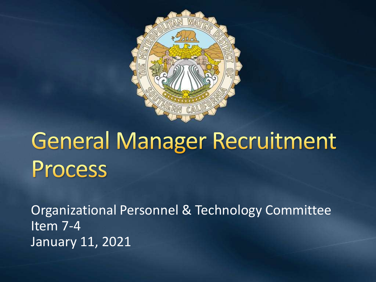

# **General Manager Recruitment** Process

Organizational Personnel & Technology Committee Item 7-4 January 11, 2021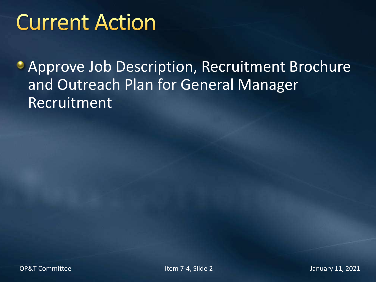### **Current Action**

**Approve Job Description, Recruitment Brochure** and Outreach Plan for General Manager Recruitment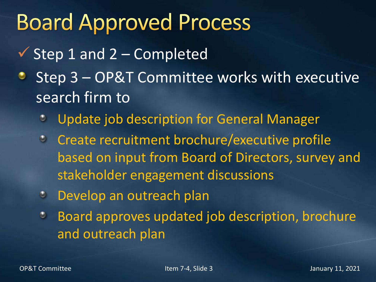### **Board Approved Process**

- $\checkmark$  Step 1 and 2 Completed
- Step 3 OP&T Committee works with executive ۰ search firm to
	- Update job description for General Manager O
	- **Create recruitment brochure/executive profile** based on input from Board of Directors, survey and stakeholder engagement discussions
	- Develop an outreach plan
	- Board approves updated job description, brochure  $\bullet$ and outreach plan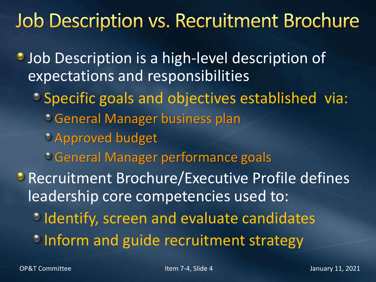### **Job Description vs. Recruitment Brochure**

**Job Description is a high-level description of** expectations and responsibilities

- Specific goals and objectives established via: General Manager business plan Approved budget
	- General Manager performance goals
- **Recruitment Brochure/Executive Profile defines** leadership core competencies used to:
	- **Identify, screen and evaluate candidates**
	- **Inform and guide recruitment strategy**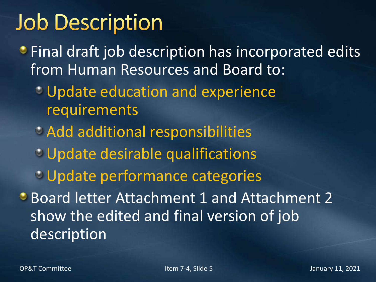## **Job Description**

**• Final draft job description has incorporated edits** from Human Resources and Board to:

- Update education and experience requirements
- Add additional responsibilities
- Update desirable qualifications
- Update performance categories
- Board letter Attachment 1 and Attachment 2 show the edited and final version of job description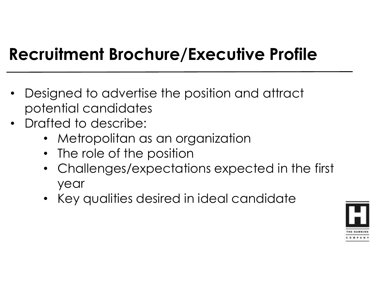#### **Recruitment Brochure/Executive Profile**

- Designed to advertise the position and attract potential candidates
- Drafted to describe:
	- Metropolitan as an organization
	- The role of the position
	- Challenges/expectations expected in the first year
	- Key qualities desired in ideal candidate

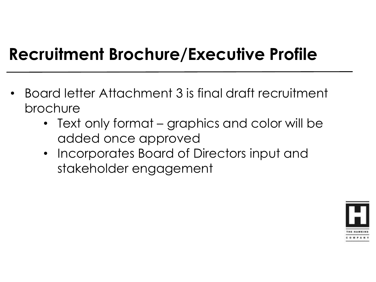#### **Recruitment Brochure/Executive Profile**

- Board letter Attachment 3 is final draft recruitment brochure
	- Text only format graphics and color will be added once approved
	- Incorporates Board of Directors input and stakeholder engagement

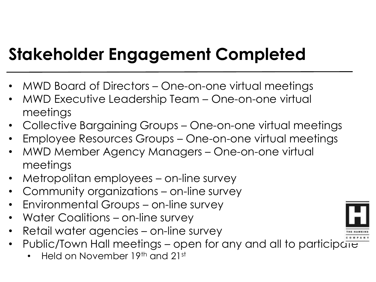#### **Stakeholder Engagement Completed**

- MWD Board of Directors One-on-one virtual meetings
- MWD Executive Leadership Team One-on-one virtual meetings
- Collective Bargaining Groups One-on-one virtual meetings
- Employee Resources Groups One-on-one virtual meetings
- MWD Member Agency Managers One-on-one virtual meetings
- Metropolitan employees on-line survey
- Community organizations on-line survey
- Environmental Groups on-line survey
- Water Coalitions on-line survey
- Retail water agencies on-line survey
- Public/Town Hall meetings open for any and all to participate
	- Held on November 19th and 21st

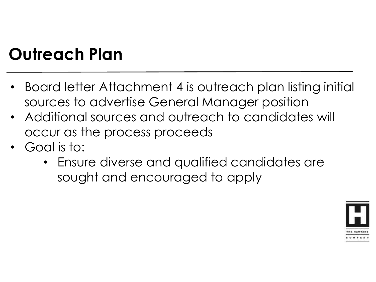### **Outreach Plan**

- Board letter Attachment 4 is outreach plan listing initial sources to advertise General Manager position
- Additional sources and outreach to candidates will occur as the process proceeds
- Goal is to:
	- Ensure diverse and qualified candidates are sought and encouraged to apply

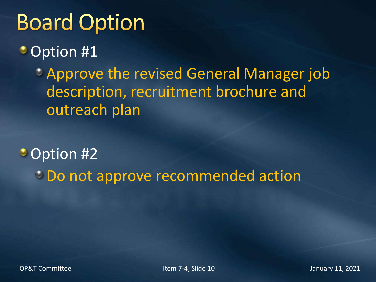## **Board Option**

• Option #1

Approve the revised General Manager job description, recruitment brochure and outreach plan

• Option #2 Do not approve recommended action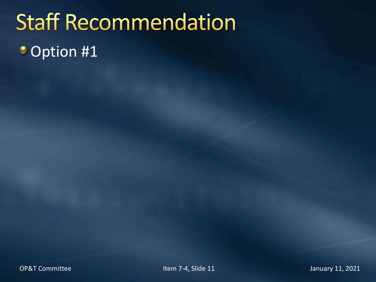# **Staff Recommendation** • Option #1